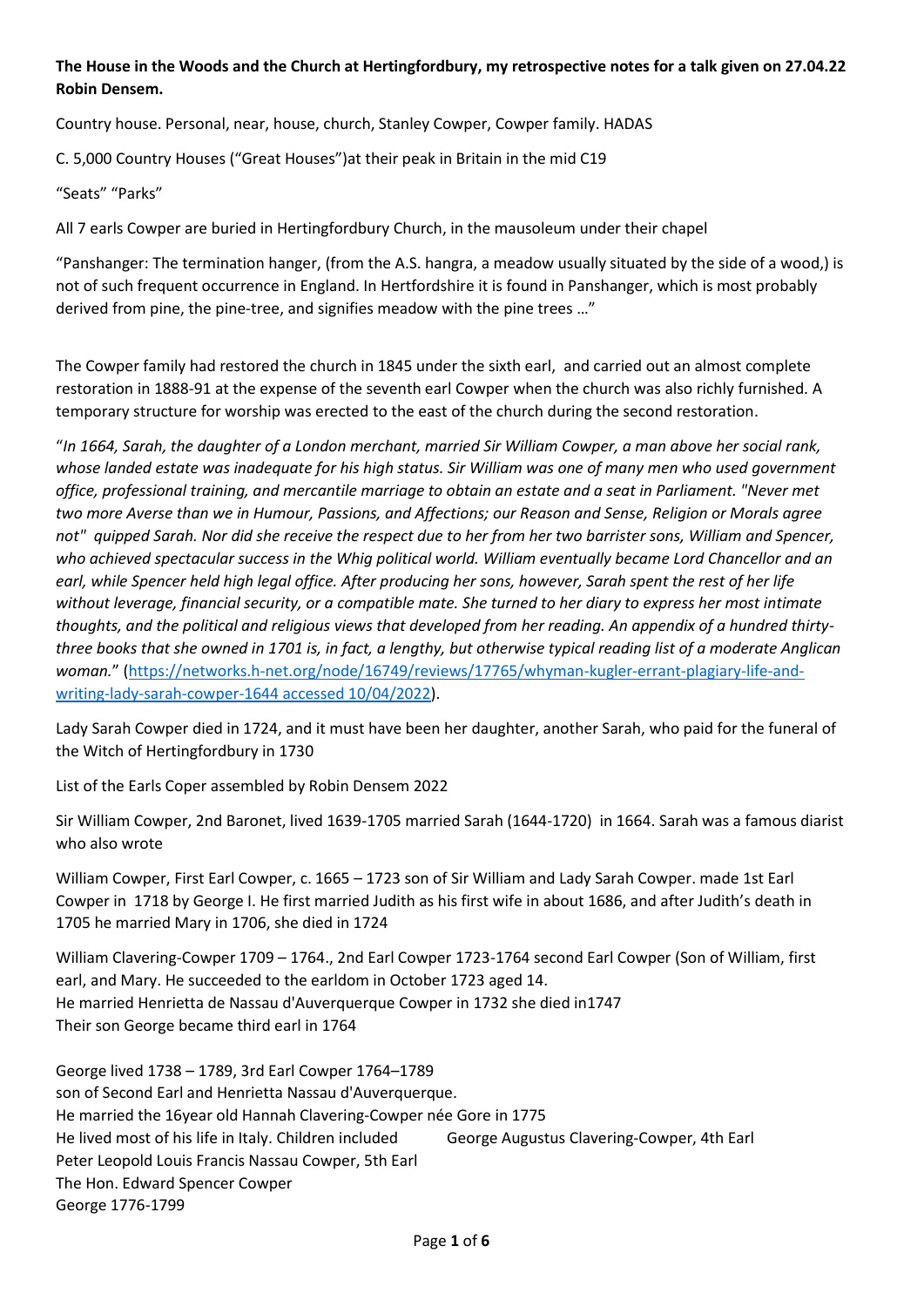## **The House in the Woods and the Church at Hertingfordbury, my retrospective notes for a talk given on 27.04.22 Robin Densem.**

Country house. Personal, near, house, church, Stanley Cowper, Cowper family. HADAS

C. 5,000 Country Houses ("Great Houses")at their peak in Britain in the mid C19

"Seats" "Parks"

All 7 earls Cowper are buried in Hertingfordbury Church, in the mausoleum under their chapel

"Panshanger: The termination hanger, (from the A.S. hangra, a meadow usually situated by the side of a wood,) is not of such frequent occurrence in England. In Hertfordshire it is found in Panshanger, which is most probably derived from pine, the pine-tree, and signifies meadow with the pine trees …"

The Cowper family had restored the church in 1845 under the sixth earl, and carried out an almost complete restoration in 1888-91 at the expense of the seventh earl Cowper when the church was also richly furnished. A temporary structure for worship was erected to the east of the church during the second restoration.

"*In 1664, Sarah, the daughter of a London merchant, married Sir William Cowper, a man above her social rank, whose landed estate was inadequate for his high status. Sir William was one of many men who used government office, professional training, and mercantile marriage to obtain an estate and a seat in Parliament. "Never met two more Averse than we in Humour, Passions, and Affections; our Reason and Sense, Religion or Morals agree not" quipped Sarah. Nor did she receive the respect due to her from her two barrister sons, William and Spencer, who achieved spectacular success in the Whig political world. William eventually became Lord Chancellor and an earl, while Spencer held high legal office. After producing her sons, however, Sarah spent the rest of her life without leverage, financial security, or a compatible mate. She turned to her diary to express her most intimate thoughts, and the political and religious views that developed from her reading. An appendix of a hundred thirtythree books that she owned in 1701 is, in fact, a lengthy, but otherwise typical reading list of a moderate Anglican woman.*" [\(https://networks.h-net.org/node/16749/reviews/17765/whyman-kugler-errant-plagiary-life-and](https://networks.h-net.org/node/16749/reviews/17765/whyman-kugler-errant-plagiary-life-and-writing-lady-sarah-cowper-1644%20accessed%2010/04/2022)[writing-lady-sarah-cowper-1644 accessed 10/04/2022\)](https://networks.h-net.org/node/16749/reviews/17765/whyman-kugler-errant-plagiary-life-and-writing-lady-sarah-cowper-1644%20accessed%2010/04/2022).

Lady Sarah Cowper died in 1724, and it must have been her daughter, another Sarah, who paid for the funeral of the Witch of Hertingfordbury in 1730

List of the Earls Coper assembled by Robin Densem 2022

Sir William Cowper, 2nd Baronet, lived 1639-1705 married Sarah (1644-1720) in 1664. Sarah was a famous diarist who also wrote

William Cowper, First Earl Cowper, c. 1665 – 1723 son of Sir William and Lady Sarah Cowper. made 1st Earl Cowper in 1718 by George I. He first married Judith as his first wife in about 1686, and after Judith's death in 1705 he married Mary in 1706, she died in 1724

William Clavering-Cowper 1709 – 1764., 2nd Earl Cowper 1723-1764 second Earl Cowper (Son of William, first earl, and Mary. He succeeded to the earldom in October 1723 aged 14. He married Henrietta de Nassau d'Auverquerque Cowper in 1732 she died in1747 Their son George became third earl in 1764

George lived 1738 – 1789, 3rd Earl Cowper 1764–1789 son of Second Earl and Henrietta Nassau d'Auverquerque. He married the 16year old Hannah Clavering-Cowper née Gore in 1775 He lived most of his life in Italy. Children included George Augustus Clavering-Cowper, 4th Earl Peter Leopold Louis Francis Nassau Cowper, 5th Earl The Hon. Edward Spencer Cowper George 1776-1799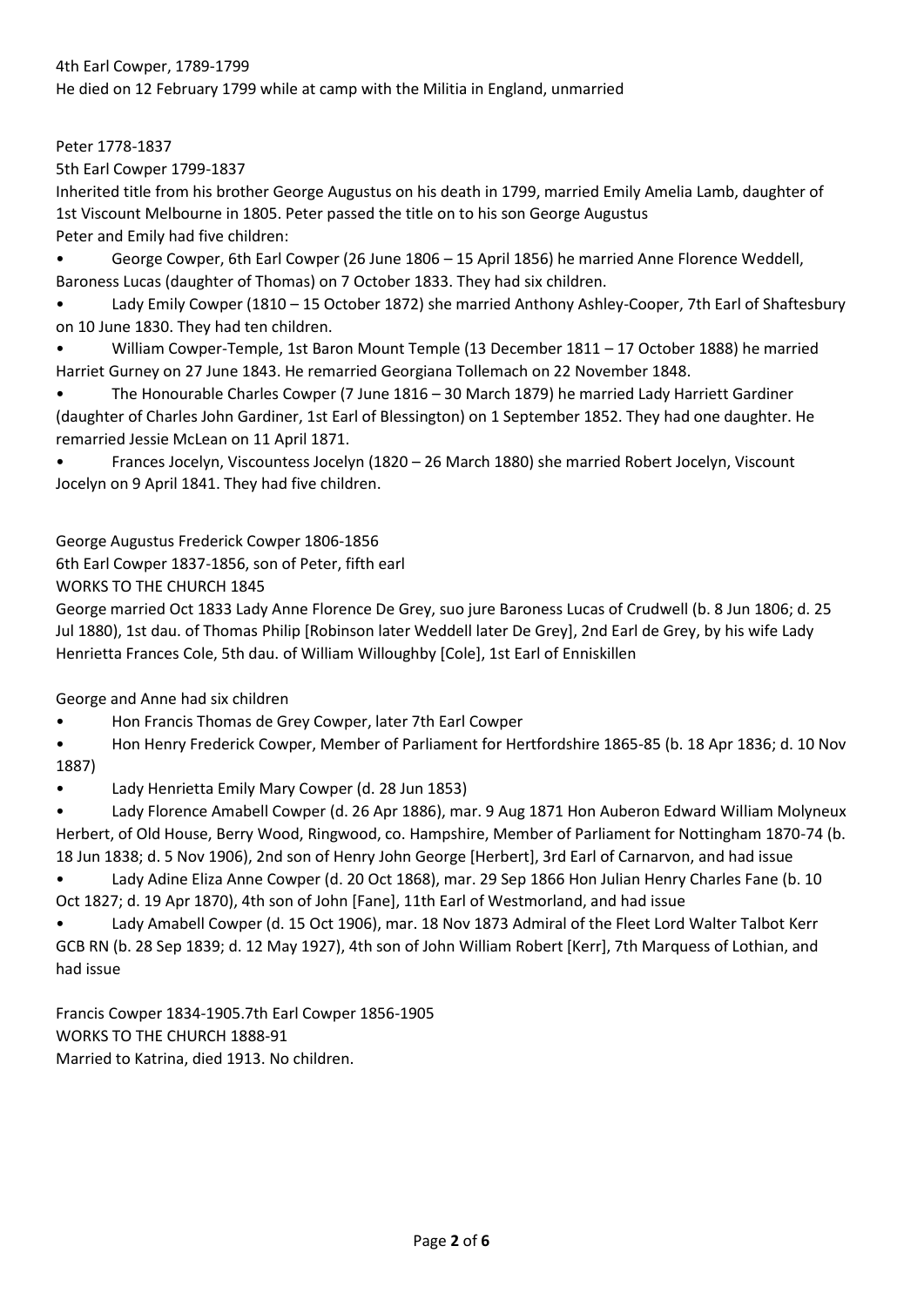## 4th Earl Cowper, 1789-1799

He died on 12 February 1799 while at camp with the Militia in England, unmarried

Peter 1778-1837

5th Earl Cowper 1799-1837

Inherited title from his brother George Augustus on his death in 1799, married Emily Amelia Lamb, daughter of 1st Viscount Melbourne in 1805. Peter passed the title on to his son George Augustus Peter and Emily had five children:

• George Cowper, 6th Earl Cowper (26 June 1806 – 15 April 1856) he married Anne Florence Weddell, Baroness Lucas (daughter of Thomas) on 7 October 1833. They had six children.

• Lady Emily Cowper (1810 – 15 October 1872) she married Anthony Ashley-Cooper, 7th Earl of Shaftesbury on 10 June 1830. They had ten children.

• William Cowper-Temple, 1st Baron Mount Temple (13 December 1811 – 17 October 1888) he married Harriet Gurney on 27 June 1843. He remarried Georgiana Tollemach on 22 November 1848.

• The Honourable Charles Cowper (7 June 1816 – 30 March 1879) he married Lady Harriett Gardiner (daughter of Charles John Gardiner, 1st Earl of Blessington) on 1 September 1852. They had one daughter. He remarried Jessie McLean on 11 April 1871.

• Frances Jocelyn, Viscountess Jocelyn (1820 – 26 March 1880) she married Robert Jocelyn, Viscount Jocelyn on 9 April 1841. They had five children.

George Augustus Frederick Cowper 1806-1856

6th Earl Cowper 1837-1856, son of Peter, fifth earl

WORKS TO THE CHURCH 1845

George married Oct 1833 Lady Anne Florence De Grey, suo jure Baroness Lucas of Crudwell (b. 8 Jun 1806; d. 25 Jul 1880), 1st dau. of Thomas Philip [Robinson later Weddell later De Grey], 2nd Earl de Grey, by his wife Lady Henrietta Frances Cole, 5th dau. of William Willoughby [Cole], 1st Earl of Enniskillen

George and Anne had six children

• Hon Francis Thomas de Grey Cowper, later 7th Earl Cowper

• Hon Henry Frederick Cowper, Member of Parliament for Hertfordshire 1865-85 (b. 18 Apr 1836; d. 10 Nov 1887)

• Lady Henrietta Emily Mary Cowper (d. 28 Jun 1853)

• Lady Florence Amabell Cowper (d. 26 Apr 1886), mar. 9 Aug 1871 Hon Auberon Edward William Molyneux Herbert, of Old House, Berry Wood, Ringwood, co. Hampshire, Member of Parliament for Nottingham 1870-74 (b. 18 Jun 1838; d. 5 Nov 1906), 2nd son of Henry John George [Herbert], 3rd Earl of Carnarvon, and had issue

• Lady Adine Eliza Anne Cowper (d. 20 Oct 1868), mar. 29 Sep 1866 Hon Julian Henry Charles Fane (b. 10 Oct 1827; d. 19 Apr 1870), 4th son of John [Fane], 11th Earl of Westmorland, and had issue

• Lady Amabell Cowper (d. 15 Oct 1906), mar. 18 Nov 1873 Admiral of the Fleet Lord Walter Talbot Kerr GCB RN (b. 28 Sep 1839; d. 12 May 1927), 4th son of John William Robert [Kerr], 7th Marquess of Lothian, and had issue

Francis Cowper 1834-1905.7th Earl Cowper 1856-1905 WORKS TO THE CHURCH 1888-91 Married to Katrina, died 1913. No children.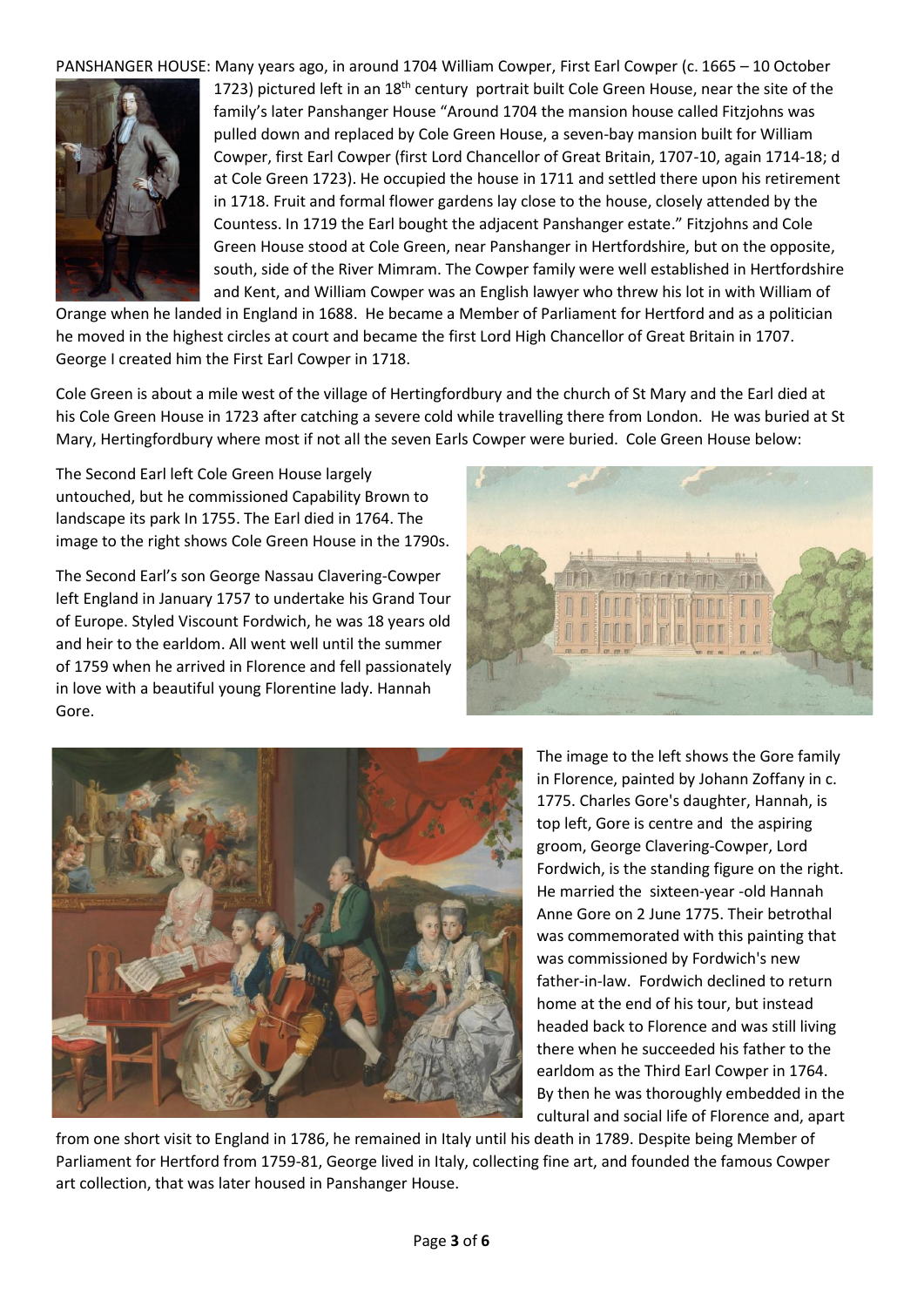PANSHANGER HOUSE: Many years ago, in around 1704 William Cowper, First Earl Cowper (c. 1665 – 10 October



1723) pictured left in an 18<sup>th</sup> century portrait built Cole Green House, near the site of the family's later Panshanger House "Around 1704 the mansion house called Fitzjohns was pulled down and replaced by Cole Green House, a seven-bay mansion built for William Cowper, first Earl Cowper (first Lord Chancellor of Great Britain, 1707-10, again 1714-18; d at Cole Green 1723). He occupied the house in 1711 and settled there upon his retirement in 1718. Fruit and formal flower gardens lay close to the house, closely attended by the Countess. In 1719 the Earl bought the adjacent Panshanger estate." Fitzjohns and Cole Green House stood at Cole Green, near Panshanger in Hertfordshire, but on the opposite, south, side of the River Mimram. The Cowper family were well established in Hertfordshire and Kent, and William Cowper was an English lawyer who threw his lot in with William of

Orange when he landed in England in 1688. He became a Member of Parliament for Hertford and as a politician he moved in the highest circles at court and became the first Lord High Chancellor of Great Britain in 1707. George I created him the First Earl Cowper in 1718.

Cole Green is about a mile west of the village of Hertingfordbury and the church of St Mary and the Earl died at his Cole Green House in 1723 after catching a severe cold while travelling there from London. He was buried at St Mary, Hertingfordbury where most if not all the seven Earls Cowper were buried. Cole Green House below:

The Second Earl left Cole Green House largely untouched, but he commissioned Capability Brown to landscape its park In 1755. The Earl died in 1764. The image to the right shows Cole Green House in the 1790s.

The Second Earl's son George Nassau Clavering-Cowper left England in January 1757 to undertake his Grand Tour of Europe. Styled Viscount Fordwich, he was 18 years old and heir to the earldom. All went well until the summer of 1759 when he arrived in Florence and fell passionately in love with a beautiful young Florentine lady. Hannah Gore.





The image to the left shows the Gore family in Florence, painted by Johann Zoffany in c. 1775. Charles Gore's daughter, Hannah, is top left, Gore is centre and the aspiring groom, George Clavering-Cowper, Lord Fordwich, is the standing figure on the right. He married the sixteen-year -old Hannah Anne Gore on 2 June 1775. Their betrothal was commemorated with this painting that was commissioned by Fordwich's new father-in-law. Fordwich declined to return home at the end of his tour, but instead headed back to Florence and was still living there when he succeeded his father to the earldom as the Third Earl Cowper in 1764. By then he was thoroughly embedded in the cultural and social life of Florence and, apart

from one short visit to England in 1786, he remained in Italy until his death in 1789. Despite being Member of Parliament for Hertford from 1759-81, George lived in Italy, collecting fine art, and founded the famous Cowper art collection, that was later housed in Panshanger House.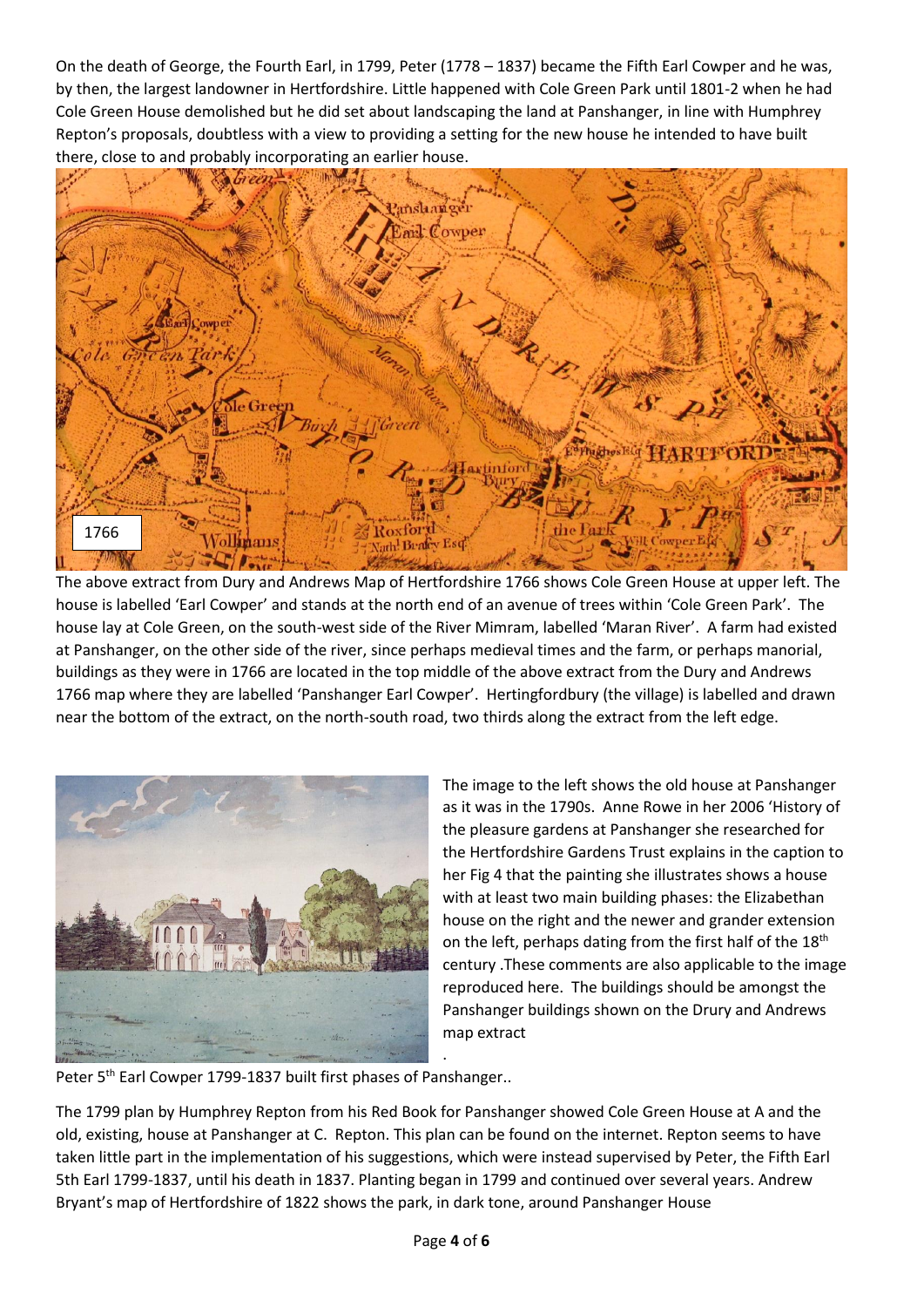On the death of George, the Fourth Earl, in 1799, Peter (1778 – 1837) became the Fifth Earl Cowper and he was, by then, the largest landowner in Hertfordshire. Little happened with Cole Green Park until 1801-2 when he had Cole Green House demolished but he did set about landscaping the land at Panshanger, in line with Humphrey Repton's proposals, doubtless with a view to providing a setting for the new house he intended to have built there, close to and probably incorporating an earlier house.



The above extract from Dury and Andrews Map of Hertfordshire 1766 shows Cole Green House at upper left. The house is labelled 'Earl Cowper' and stands at the north end of an avenue of trees within 'Cole Green Park'. The house lay at Cole Green, on the south-west side of the River Mimram, labelled 'Maran River'. A farm had existed at Panshanger, on the other side of the river, since perhaps medieval times and the farm, or perhaps manorial, buildings as they were in 1766 are located in the top middle of the above extract from the Dury and Andrews 1766 map where they are labelled 'Panshanger Earl Cowper'. Hertingfordbury (the village) is labelled and drawn near the bottom of the extract, on the north-south road, two thirds along the extract from the left edge.



The image to the left shows the old house at Panshanger as it was in the 1790s. Anne Rowe in her 2006 'History of the pleasure gardens at Panshanger she researched for the Hertfordshire Gardens Trust explains in the caption to her Fig 4 that the painting she illustrates shows a house with at least two main building phases: the Elizabethan house on the right and the newer and grander extension on the left, perhaps dating from the first half of the 18<sup>th</sup> century .These comments are also applicable to the image reproduced here. The buildings should be amongst the Panshanger buildings shown on the Drury and Andrews map extract

Peter 5<sup>th</sup> Earl Cowper 1799-1837 built first phases of Panshanger..

The 1799 plan by Humphrey Repton from his Red Book for Panshanger showed Cole Green House at A and the old, existing, house at Panshanger at C. Repton. This plan can be found on the internet. Repton seems to have taken little part in the implementation of his suggestions, which were instead supervised by Peter, the Fifth Earl 5th Earl 1799-1837, until his death in 1837. Planting began in 1799 and continued over several years. Andrew Bryant's map of Hertfordshire of 1822 shows the park, in dark tone, around Panshanger House

.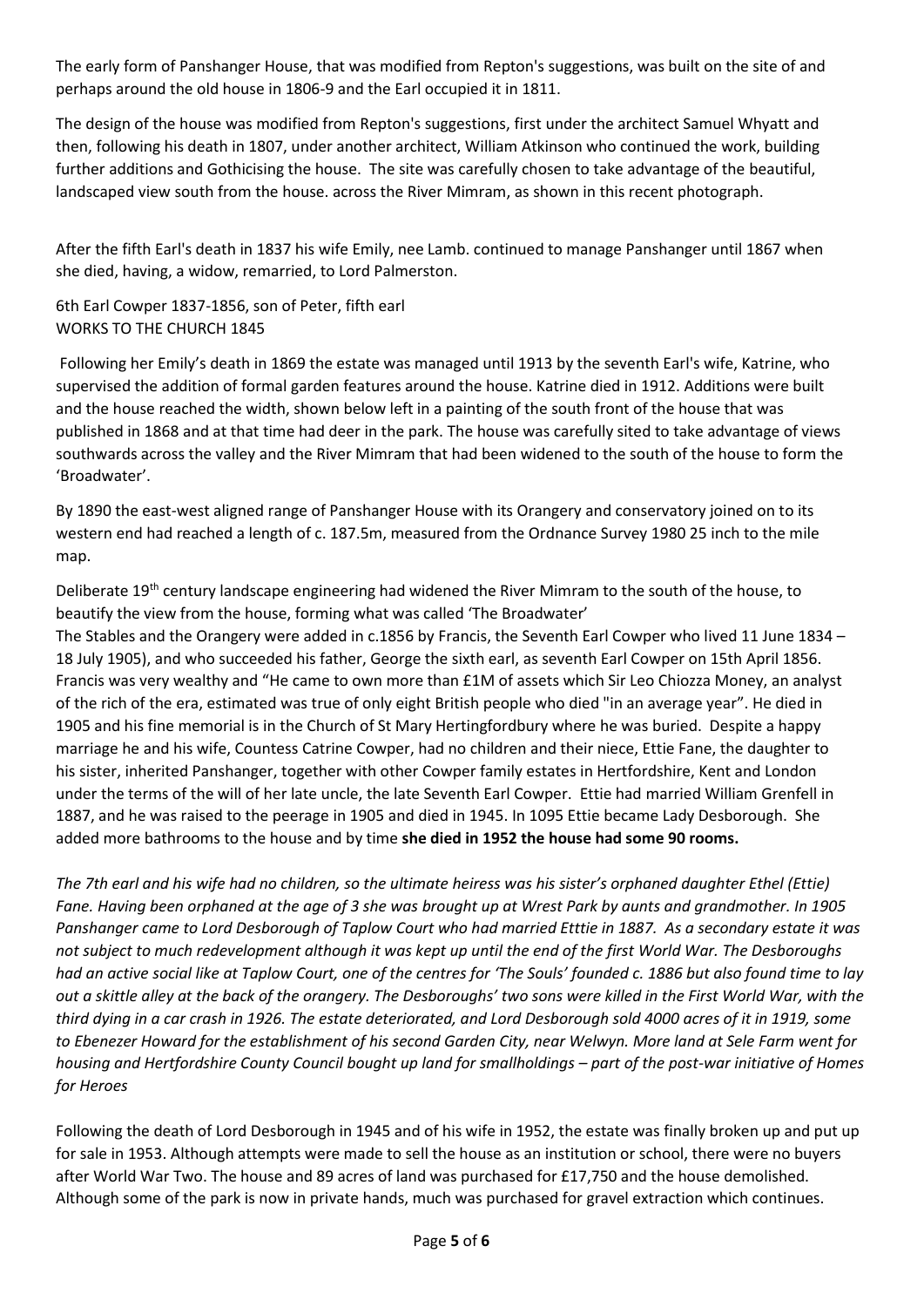The early form of Panshanger House, that was modified from Repton's suggestions, was built on the site of and perhaps around the old house in 1806-9 and the Earl occupied it in 1811.

The design of the house was modified from Repton's suggestions, first under the architect Samuel Whyatt and then, following his death in 1807, under another architect, William Atkinson who continued the work, building further additions and Gothicising the house. The site was carefully chosen to take advantage of the beautiful, landscaped view south from the house. across the River Mimram, as shown in this recent photograph.

After the fifth Earl's death in 1837 his wife Emily, nee Lamb. continued to manage Panshanger until 1867 when she died, having, a widow, remarried, to Lord Palmerston.

6th Earl Cowper 1837-1856, son of Peter, fifth earl WORKS TO THE CHURCH 1845

Following her Emily's death in 1869 the estate was managed until 1913 by the seventh Earl's wife, Katrine, who supervised the addition of formal garden features around the house. Katrine died in 1912. Additions were built and the house reached the width, shown below left in a painting of the south front of the house that was published in 1868 and at that time had deer in the park. The house was carefully sited to take advantage of views southwards across the valley and the River Mimram that had been widened to the south of the house to form the 'Broadwater'.

By 1890 the east-west aligned range of Panshanger House with its Orangery and conservatory joined on to its western end had reached a length of c. 187.5m, measured from the Ordnance Survey 1980 25 inch to the mile map.

Deliberate 19<sup>th</sup> century landscape engineering had widened the River Mimram to the south of the house, to beautify the view from the house, forming what was called 'The Broadwater'

The Stables and the Orangery were added in c.1856 by Francis, the Seventh Earl Cowper who lived 11 June 1834 – 18 July 1905), and who succeeded his father, George the sixth earl, as seventh Earl Cowper on 15th April 1856. Francis was very wealthy and "He came to own more than £1M of assets which Sir Leo Chiozza Money, an analyst of the rich of the era, estimated was true of only eight British people who died "in an average year". He died in 1905 and his fine memorial is in the Church of St Mary Hertingfordbury where he was buried. Despite a happy marriage he and his wife, Countess Catrine Cowper, had no children and their niece, Ettie Fane, the daughter to his sister, inherited Panshanger, together with other Cowper family estates in Hertfordshire, Kent and London under the terms of the will of her late uncle, the late Seventh Earl Cowper. Ettie had married William Grenfell in 1887, and he was raised to the peerage in 1905 and died in 1945. In 1095 Ettie became Lady Desborough. She added more bathrooms to the house and by time **she died in 1952 the house had some 90 rooms.**

*The 7th earl and his wife had no children, so the ultimate heiress was his sister's orphaned daughter Ethel (Ettie) Fane. Having been orphaned at the age of 3 she was brought up at Wrest Park by aunts and grandmother. In 1905 Panshanger came to Lord Desborough of Taplow Court who had married Etttie in 1887. As a secondary estate it was not subject to much redevelopment although it was kept up until the end of the first World War. The Desboroughs had an active social like at Taplow Court, one of the centres for 'The Souls' founded c. 1886 but also found time to lay out a skittle alley at the back of the orangery. The Desboroughs' two sons were killed in the First World War, with the third dying in a car crash in 1926. The estate deteriorated, and Lord Desborough sold 4000 acres of it in 1919, some to Ebenezer Howard for the establishment of his second Garden City, near Welwyn. More land at Sele Farm went for housing and Hertfordshire County Council bought up land for smallholdings – part of the post-war initiative of Homes for Heroes*

Following the death of Lord Desborough in 1945 and of his wife in 1952, the estate was finally broken up and put up for sale in 1953. Although attempts were made to sell the house as an institution or school, there were no buyers after World War Two. The house and 89 acres of land was purchased for £17,750 and the house demolished. Although some of the park is now in private hands, much was purchased for gravel extraction which continues.